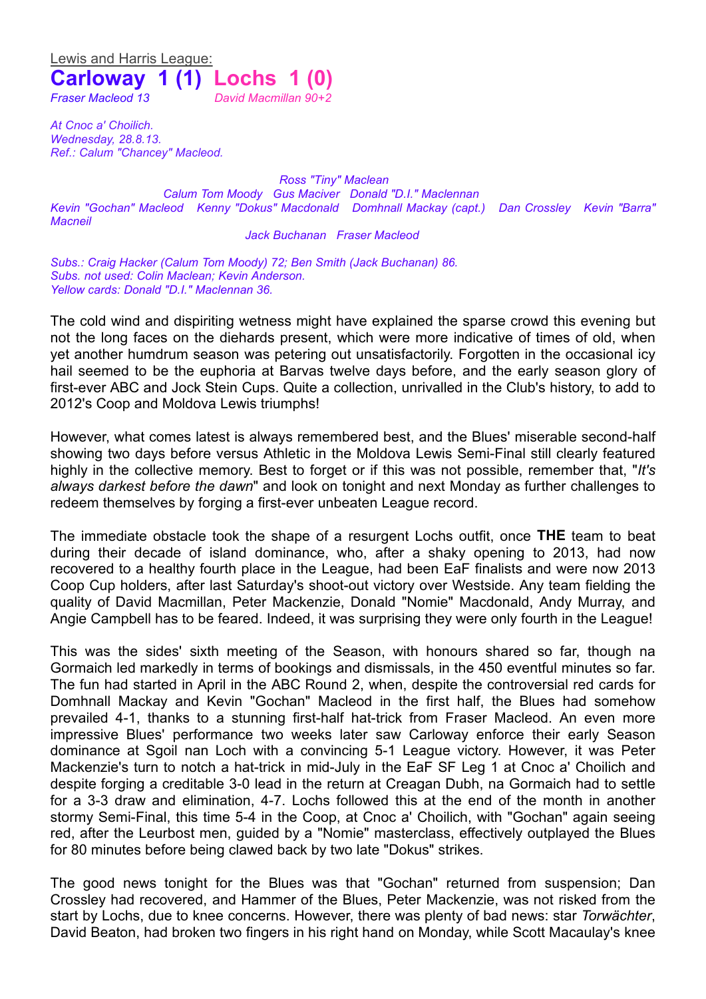Lewis and Harris League: **Carloway 1 (1) Lochs 1 (0)** *Fraser Macleod 13 David Macmillan 90+2*

*At Cnoc a' Choilich. Wednesday, 28.8.13. Ref.: Calum "Chancey" Macleod.*

*Ross "Tiny" Maclean Calum Tom Moody Gus Maciver Donald "D.I." Maclennan Kevin "Gochan" Macleod Kenny "Dokus" Macdonald Domhnall Mackay (capt.) Dan Crossley Kevin "Barra" Macneil*

*Jack Buchanan Fraser Macleod*

*Subs.: Craig Hacker (Calum Tom Moody) 72; Ben Smith (Jack Buchanan) 86. Subs. not used: Colin Maclean; Kevin Anderson. Yellow cards: Donald "D.I." Maclennan 36.*

The cold wind and dispiriting wetness might have explained the sparse crowd this evening but not the long faces on the diehards present, which were more indicative of times of old, when yet another humdrum season was petering out unsatisfactorily. Forgotten in the occasional icy hail seemed to be the euphoria at Barvas twelve days before, and the early season glory of first-ever ABC and Jock Stein Cups. Quite a collection, unrivalled in the Club's history, to add to 2012's Coop and Moldova Lewis triumphs!

However, what comes latest is always remembered best, and the Blues' miserable second-half showing two days before versus Athletic in the Moldova Lewis Semi-Final still clearly featured highly in the collective memory. Best to forget or if this was not possible, remember that, "*It's always darkest before the dawn*" and look on tonight and next Monday as further challenges to redeem themselves by forging a first-ever unbeaten League record.

The immediate obstacle took the shape of a resurgent Lochs outfit, once **THE** team to beat during their decade of island dominance, who, after a shaky opening to 2013, had now recovered to a healthy fourth place in the League, had been EaF finalists and were now 2013 Coop Cup holders, after last Saturday's shoot-out victory over Westside. Any team fielding the quality of David Macmillan, Peter Mackenzie, Donald "Nomie" Macdonald, Andy Murray, and Angie Campbell has to be feared. Indeed, it was surprising they were only fourth in the League!

This was the sides' sixth meeting of the Season, with honours shared so far, though na Gormaich led markedly in terms of bookings and dismissals, in the 450 eventful minutes so far. The fun had started in April in the ABC Round 2, when, despite the controversial red cards for Domhnall Mackay and Kevin "Gochan" Macleod in the first half, the Blues had somehow prevailed 4-1, thanks to a stunning first-half hat-trick from Fraser Macleod. An even more impressive Blues' performance two weeks later saw Carloway enforce their early Season dominance at Sgoil nan Loch with a convincing 5-1 League victory. However, it was Peter Mackenzie's turn to notch a hat-trick in mid-July in the EaF SF Leg 1 at Cnoc a' Choilich and despite forging a creditable 3-0 lead in the return at Creagan Dubh, na Gormaich had to settle for a 3-3 draw and elimination, 4-7. Lochs followed this at the end of the month in another stormy Semi-Final, this time 5-4 in the Coop, at Cnoc a' Choilich, with "Gochan" again seeing red, after the Leurbost men, guided by a "Nomie" masterclass, effectively outplayed the Blues for 80 minutes before being clawed back by two late "Dokus" strikes.

The good news tonight for the Blues was that "Gochan" returned from suspension; Dan Crossley had recovered, and Hammer of the Blues, Peter Mackenzie, was not risked from the start by Lochs, due to knee concerns. However, there was plenty of bad news: star *Torwächter*, David Beaton, had broken two fingers in his right hand on Monday, while Scott Macaulay's knee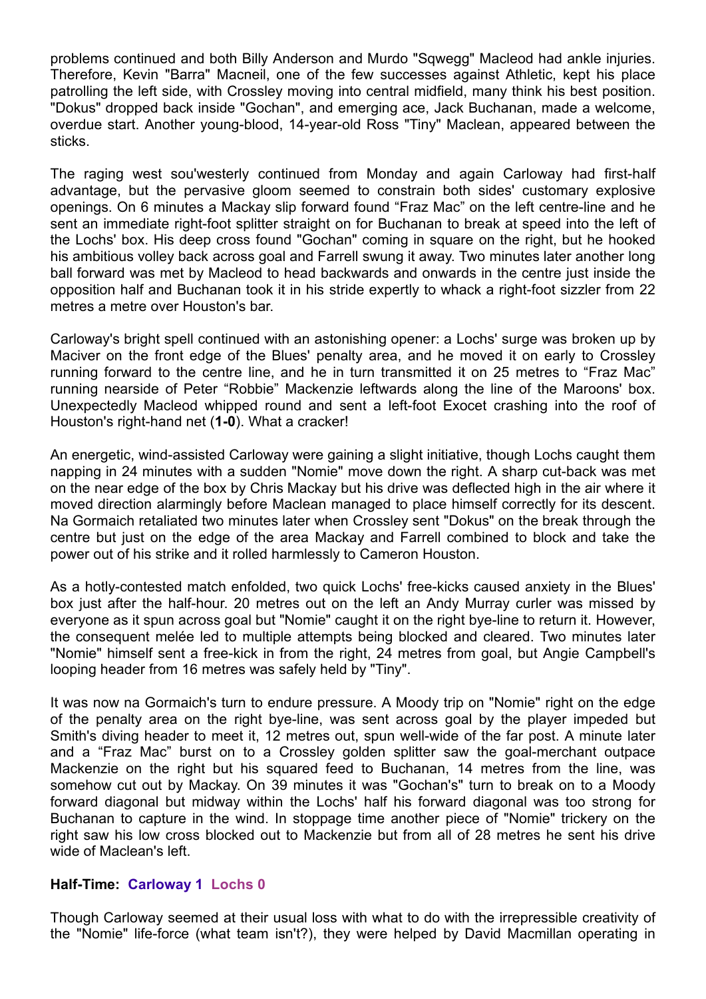problems continued and both Billy Anderson and Murdo "Sqwegg" Macleod had ankle injuries. Therefore, Kevin "Barra" Macneil, one of the few successes against Athletic, kept his place patrolling the left side, with Crossley moving into central midfield, many think his best position. "Dokus" dropped back inside "Gochan", and emerging ace, Jack Buchanan, made a welcome, overdue start. Another young-blood, 14-year-old Ross "Tiny" Maclean, appeared between the sticks.

The raging west sou'westerly continued from Monday and again Carloway had first-half advantage, but the pervasive gloom seemed to constrain both sides' customary explosive openings. On 6 minutes a Mackay slip forward found "Fraz Mac" on the left centre-line and he sent an immediate right-foot splitter straight on for Buchanan to break at speed into the left of the Lochs' box. His deep cross found "Gochan" coming in square on the right, but he hooked his ambitious volley back across goal and Farrell swung it away. Two minutes later another long ball forward was met by Macleod to head backwards and onwards in the centre just inside the opposition half and Buchanan took it in his stride expertly to whack a right-foot sizzler from 22 metres a metre over Houston's bar.

Carloway's bright spell continued with an astonishing opener: a Lochs' surge was broken up by Maciver on the front edge of the Blues' penalty area, and he moved it on early to Crossley running forward to the centre line, and he in turn transmitted it on 25 metres to "Fraz Mac" running nearside of Peter "Robbie" Mackenzie leftwards along the line of the Maroons' box. Unexpectedly Macleod whipped round and sent a left-foot Exocet crashing into the roof of Houston's right-hand net (**1-0**). What a cracker!

An energetic, wind-assisted Carloway were gaining a slight initiative, though Lochs caught them napping in 24 minutes with a sudden "Nomie" move down the right. A sharp cut-back was met on the near edge of the box by Chris Mackay but his drive was deflected high in the air where it moved direction alarmingly before Maclean managed to place himself correctly for its descent. Na Gormaich retaliated two minutes later when Crossley sent "Dokus" on the break through the centre but just on the edge of the area Mackay and Farrell combined to block and take the power out of his strike and it rolled harmlessly to Cameron Houston.

As a hotly-contested match enfolded, two quick Lochs' free-kicks caused anxiety in the Blues' box just after the half-hour. 20 metres out on the left an Andy Murray curler was missed by everyone as it spun across goal but "Nomie" caught it on the right bye-line to return it. However, the consequent melée led to multiple attempts being blocked and cleared. Two minutes later "Nomie" himself sent a free-kick in from the right, 24 metres from goal, but Angie Campbell's looping header from 16 metres was safely held by "Tiny".

It was now na Gormaich's turn to endure pressure. A Moody trip on "Nomie" right on the edge of the penalty area on the right bye-line, was sent across goal by the player impeded but Smith's diving header to meet it, 12 metres out, spun well-wide of the far post. A minute later and a "Fraz Mac" burst on to a Crossley golden splitter saw the goal-merchant outpace Mackenzie on the right but his squared feed to Buchanan, 14 metres from the line, was somehow cut out by Mackay. On 39 minutes it was "Gochan's" turn to break on to a Moody forward diagonal but midway within the Lochs' half his forward diagonal was too strong for Buchanan to capture in the wind. In stoppage time another piece of "Nomie" trickery on the right saw his low cross blocked out to Mackenzie but from all of 28 metres he sent his drive wide of Maclean's left.

## **Half-Time: Carloway 1 Lochs 0**

Though Carloway seemed at their usual loss with what to do with the irrepressible creativity of the "Nomie" life-force (what team isn't?), they were helped by David Macmillan operating in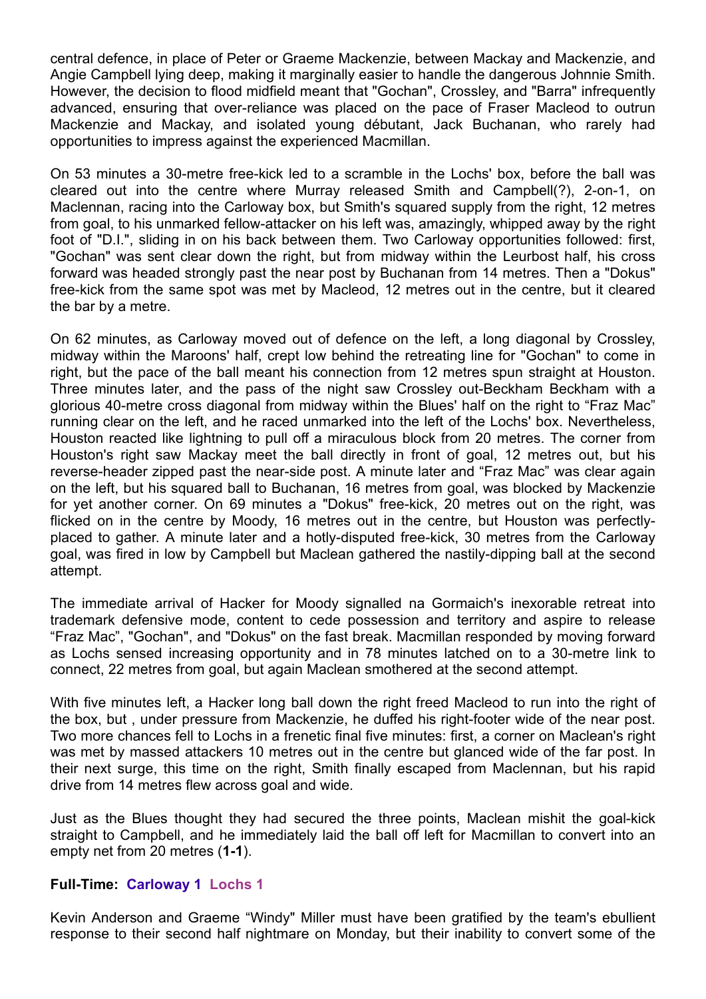central defence, in place of Peter or Graeme Mackenzie, between Mackay and Mackenzie, and Angie Campbell lying deep, making it marginally easier to handle the dangerous Johnnie Smith. However, the decision to flood midfield meant that "Gochan", Crossley, and "Barra" infrequently advanced, ensuring that over-reliance was placed on the pace of Fraser Macleod to outrun Mackenzie and Mackay, and isolated young débutant, Jack Buchanan, who rarely had opportunities to impress against the experienced Macmillan.

On 53 minutes a 30-metre free-kick led to a scramble in the Lochs' box, before the ball was cleared out into the centre where Murray released Smith and Campbell(?), 2-on-1, on Maclennan, racing into the Carloway box, but Smith's squared supply from the right, 12 metres from goal, to his unmarked fellow-attacker on his left was, amazingly, whipped away by the right foot of "D.I.", sliding in on his back between them. Two Carloway opportunities followed: first, "Gochan" was sent clear down the right, but from midway within the Leurbost half, his cross forward was headed strongly past the near post by Buchanan from 14 metres. Then a "Dokus" free-kick from the same spot was met by Macleod, 12 metres out in the centre, but it cleared the bar by a metre.

On 62 minutes, as Carloway moved out of defence on the left, a long diagonal by Crossley, midway within the Maroons' half, crept low behind the retreating line for "Gochan" to come in right, but the pace of the ball meant his connection from 12 metres spun straight at Houston. Three minutes later, and the pass of the night saw Crossley out-Beckham Beckham with a glorious 40-metre cross diagonal from midway within the Blues' half on the right to "Fraz Mac" running clear on the left, and he raced unmarked into the left of the Lochs' box. Nevertheless, Houston reacted like lightning to pull off a miraculous block from 20 metres. The corner from Houston's right saw Mackay meet the ball directly in front of goal, 12 metres out, but his reverse-header zipped past the near-side post. A minute later and "Fraz Mac" was clear again on the left, but his squared ball to Buchanan, 16 metres from goal, was blocked by Mackenzie for yet another corner. On 69 minutes a "Dokus" free-kick, 20 metres out on the right, was flicked on in the centre by Moody, 16 metres out in the centre, but Houston was perfectlyplaced to gather. A minute later and a hotly-disputed free-kick, 30 metres from the Carloway goal, was fired in low by Campbell but Maclean gathered the nastily-dipping ball at the second attempt.

The immediate arrival of Hacker for Moody signalled na Gormaich's inexorable retreat into trademark defensive mode, content to cede possession and territory and aspire to release "Fraz Mac", "Gochan", and "Dokus" on the fast break. Macmillan responded by moving forward as Lochs sensed increasing opportunity and in 78 minutes latched on to a 30-metre link to connect, 22 metres from goal, but again Maclean smothered at the second attempt.

With five minutes left, a Hacker long ball down the right freed Macleod to run into the right of the box, but , under pressure from Mackenzie, he duffed his right-footer wide of the near post. Two more chances fell to Lochs in a frenetic final five minutes: first, a corner on Maclean's right was met by massed attackers 10 metres out in the centre but glanced wide of the far post. In their next surge, this time on the right, Smith finally escaped from Maclennan, but his rapid drive from 14 metres flew across goal and wide.

Just as the Blues thought they had secured the three points, Maclean mishit the goal-kick straight to Campbell, and he immediately laid the ball off left for Macmillan to convert into an empty net from 20 metres (**1-1**).

## **Full-Time: Carloway 1 Lochs 1**

Kevin Anderson and Graeme "Windy" Miller must have been gratified by the team's ebullient response to their second half nightmare on Monday, but their inability to convert some of the